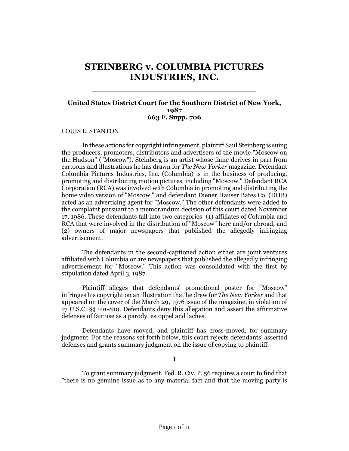# **STEINBERG v. COLUMBIA PICTURES INDUSTRIES, INC.**

\_\_\_\_\_\_\_\_\_\_\_\_\_\_\_\_\_\_\_\_\_\_\_\_\_\_\_\_

### **United States District Court for the Southern District of New York, 1987 663 F. Supp. 706**

#### LOUIS L. STANTON

In these actions for copyright infringement, plaintiff Saul Steinberg is suing the producers, promoters, distributors and advertisers of the movie "Moscow on the Hudson" ("Moscow"). Steinberg is an artist whose fame derives in part from cartoons and illustrations he has drawn for *The New Yorker* magazine. Defendant Columbia Pictures Industries, Inc. (Columbia) is in the business of producing, promoting and distributing motion pictures, including "Moscow." Defendant RCA Corporation (RCA) was involved with Columbia in promoting and distributing the home video version of "Moscow," and defendant Diener Hauser Bates Co. (DHB) acted as an advertising agent for "Moscow." The other defendants were added to the complaint pursuant to a memorandum decision of this court dated November 17, 1986. These defendants fall into two categories: (1) affiliates of Columbia and RCA that were involved in the distribution of "Moscow" here and/or abroad, and (2) owners of major newspapers that published the allegedly infringing advertisement.

The defendants in the second-captioned action either are joint ventures affiliated with Columbia or are newspapers that published the allegedly infringing advertisement for "Moscow." This action was consolidated with the first by stipulation dated April 3, 1987.

Plaintiff alleges that defendants' promotional poster for "Moscow" infringes his copyright on an illustration that he drew for *The New Yorker* and that appeared on the cover of the March 29, 1976 issue of the magazine, in violation of 17 U.S.C. §§ 101-810. Defendants deny this allegation and assert the affirmative defenses of fair use as a parody, estoppel and laches.

Defendants have moved, and plaintiff has cross-moved, for summary judgment. For the reasons set forth below, this court rejects defendants' asserted defenses and grants summary judgment on the issue of copying to plaintiff.

**I**

To grant summary judgment, Fed. R. Civ. P. 56 requires a court to find that "there is no genuine issue as to any material fact and that the moving party is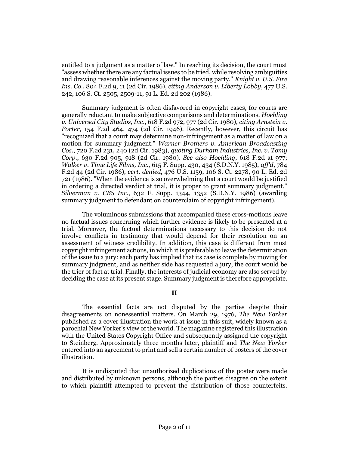entitled to a judgment as a matter of law." In reaching its decision, the court must "assess whether there are any factual issues to be tried, while resolving ambiguities and drawing reasonable inferences against the moving party." *Knight v. U.S. Fire Ins. Co*., 804 F.2d 9, 11 (2d Cir. 1986), *citing Anderson v. Liberty Lobby*, 477 U.S. 242, 106 S. Ct. 2505, 2509-11, 91 L. Ed. 2d 202 (1986).

Summary judgment is often disfavored in copyright cases, for courts are generally reluctant to make subjective comparisons and determinations. *Hoehling v. Universal City Studios, Inc*., 618 F.2d 972, 977 (2d Cir. 1980), *citing Arnstein v. Porter*, 154 F.2d 464, 474 (2d Cir. 1946). Recently, however, this circuit has "recognized that a court may determine non-infringement as a matter of law on a motion for summary judgment." *Warner Brothers v. American Broadcasting Cos*., 720 F.2d 231, 240 (2d Cir. 1983), *quoting Durham Industries, Inc. v. Tomy Corp*., 630 F.2d 905, 918 (2d Cir. 1980). *See also Hoehling*, 618 F.2d at 977; *Walker v. Time Life Films, Inc*., 615 F. Supp. 430, 434 (S.D.N.Y. 1985), *aff'd*, 784 F.2d 44 (2d Cir. 1986), *cert. denied*, 476 U.S. 1159, 106 S. Ct. 2278, 90 L. Ed. 2d 721 (1986). "When the evidence is so overwhelming that a court would be justified in ordering a directed verdict at trial, it is proper to grant summary judgment." *Silverman v. CBS Inc*., 632 F. Supp. 1344, 1352 (S.D.N.Y. 1986) (awarding summary judgment to defendant on counterclaim of copyright infringement).

The voluminous submissions that accompanied these cross-motions leave no factual issues concerning which further evidence is likely to be presented at a trial. Moreover, the factual determinations necessary to this decision do not involve conflicts in testimony that would depend for their resolution on an assessment of witness credibility. In addition, this case is different from most copyright infringement actions, in which it is preferable to leave the determination of the issue to a jury: each party has implied that its case is complete by moving for summary judgment, and as neither side has requested a jury, the court would be the trier of fact at trial. Finally, the interests of judicial economy are also served by deciding the case at its present stage. Summary judgment is therefore appropriate.

**II**

The essential facts are not disputed by the parties despite their disagreements on nonessential matters. On March 29, 1976, *The New Yorker* published as a cover illustration the work at issue in this suit, widely known as a parochial New Yorker's view of the world. The magazine registered this illustration with the United States Copyright Office and subsequently assigned the copyright to Steinberg. Approximately three months later, plaintiff and *The New Yorker* entered into an agreement to print and sell a certain number of posters of the cover illustration.

It is undisputed that unauthorized duplications of the poster were made and distributed by unknown persons, although the parties disagree on the extent to which plaintiff attempted to prevent the distribution of those counterfeits.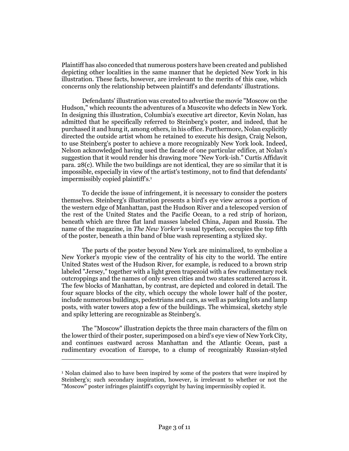Plaintiff has also conceded that numerous posters have been created and published depicting other localities in the same manner that he depicted New York in his illustration. These facts, however, are irrelevant to the merits of this case, which concerns only the relationship between plaintiff's and defendants' illustrations.

Defendants' illustration was created to advertise the movie "Moscow on the Hudson," which recounts the adventures of a Muscovite who defects in New York. In designing this illustration, Columbia's executive art director, Kevin Nolan, has admitted that he specifically referred to Steinberg's poster, and indeed, that he purchased it and hung it, among others, in his office. Furthermore, Nolan explicitly directed the outside artist whom he retained to execute his design, Craig Nelson, to use Steinberg's poster to achieve a more recognizably New York look. Indeed, Nelson acknowledged having used the facade of one particular edifice, at Nolan's suggestion that it would render his drawing more "New York-ish." Curtis Affidavit para. 28(c). While the two buildings are not identical, they are so similar that it is impossible, especially in view of the artist's testimony, not to find that defendants' impermissibly copied plaintiff's.<sup>1</sup>

To decide the issue of infringement, it is necessary to consider the posters themselves. Steinberg's illustration presents a bird's eye view across a portion of the western edge of Manhattan, past the Hudson River and a telescoped version of the rest of the United States and the Pacific Ocean, to a red strip of horizon, beneath which are three flat land masses labeled China, Japan and Russia. The name of the magazine, in *The New Yorker's* usual typeface, occupies the top fifth of the poster, beneath a thin band of blue wash representing a stylized sky.

The parts of the poster beyond New York are minimalized, to symbolize a New Yorker's myopic view of the centrality of his city to the world. The entire United States west of the Hudson River, for example, is reduced to a brown strip labeled "Jersey," together with a light green trapezoid with a few rudimentary rock outcroppings and the names of only seven cities and two states scattered across it. The few blocks of Manhattan, by contrast, are depicted and colored in detail. The four square blocks of the city, which occupy the whole lower half of the poster, include numerous buildings, pedestrians and cars, as well as parking lots and lamp posts, with water towers atop a few of the buildings. The whimsical, sketchy style and spiky lettering are recognizable as Steinberg's.

The "Moscow" illustration depicts the three main characters of the film on the lower third of their poster, superimposed on a bird's eye view of New York City, and continues eastward across Manhattan and the Atlantic Ocean, past a rudimentary evocation of Europe, to a clump of recognizably Russian-styled

 $\overline{a}$ 

<sup>1</sup> Nolan claimed also to have been inspired by some of the posters that were inspired by Steinberg's; such secondary inspiration, however, is irrelevant to whether or not the "Moscow" poster infringes plaintiff's copyright by having impermissibly copied it.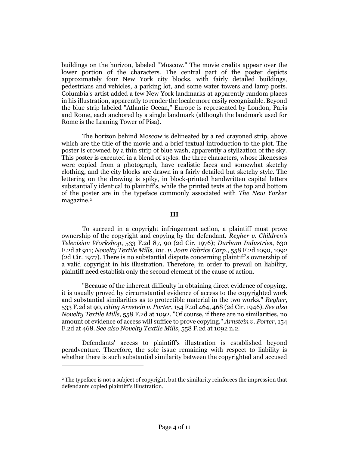buildings on the horizon, labeled "Moscow." The movie credits appear over the lower portion of the characters. The central part of the poster depicts approximately four New York city blocks, with fairly detailed buildings, pedestrians and vehicles, a parking lot, and some water towers and lamp posts. Columbia's artist added a few New York landmarks at apparently random places in his illustration, apparently to render the locale more easily recognizable. Beyond the blue strip labeled "Atlantic Ocean," Europe is represented by London, Paris and Rome, each anchored by a single landmark (although the landmark used for Rome is the Leaning Tower of Pisa).

The horizon behind Moscow is delineated by a red crayoned strip, above which are the title of the movie and a brief textual introduction to the plot. The poster is crowned by a thin strip of blue wash, apparently a stylization of the sky. This poster is executed in a blend of styles: the three characters, whose likenesses were copied from a photograph, have realistic faces and somewhat sketchy clothing, and the city blocks are drawn in a fairly detailed but sketchy style. The lettering on the drawing is spiky, in block-printed handwritten capital letters substantially identical to plaintiff's, while the printed texts at the top and bottom of the poster are in the typeface commonly associated with *The New Yorker* magazine.<sup>2</sup>

## **III**

To succeed in a copyright infringement action, a plaintiff must prove ownership of the copyright and copying by the defendant. *Reyher v. Children's Television Workshop*, 533 F.2d 87, 90 (2d Cir. 1976); *Durham Industries*, 630 F.2d at 911; *Novelty Textile Mills, Inc. v. Joan Fabrics Corp*., 558 F.2d 1090, 1092 (2d Cir. 1977). There is no substantial dispute concerning plaintiff's ownership of a valid copyright in his illustration. Therefore, in order to prevail on liability, plaintiff need establish only the second element of the cause of action.

"Because of the inherent difficulty in obtaining direct evidence of copying, it is usually proved by circumstantial evidence of access to the copyrighted work and substantial similarities as to protectible material in the two works." *Reyher*, 533 F.2d at 90, *citing Arnstein v. Porter*, 154 F.2d 464, 468 (2d Cir. 1946). *See also Novelty Textile Mills*, 558 F.2d at 1092. "Of course, if there are no similarities, no amount of evidence of access will suffice to prove copying." *Arnstein v. Porter*, 154 F.2d at 468. *See also Novelty Textile Mills*, 558 F.2d at 1092 n.2.

Defendants' access to plaintiff's illustration is established beyond peradventure. Therefore, the sole issue remaining with respect to liability is whether there is such substantial similarity between the copyrighted and accused

 $\overline{a}$ 

<sup>2</sup> The typeface is not a subject of copyright, but the similarity reinforces the impression that defendants copied plaintiff's illustration.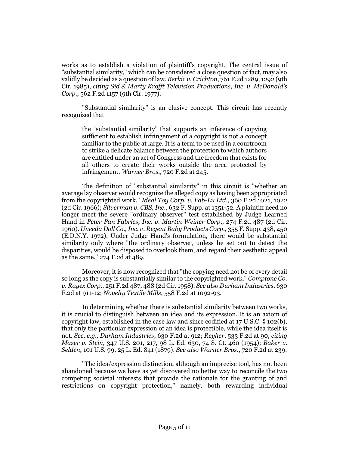works as to establish a violation of plaintiff's copyright. The central issue of "substantial similarity," which can be considered a close question of fact, may also validly be decided as a question of law. *Berkic v. Crichton*, 761 F.2d 1289, 1292 (9th Cir. 1985), *citing Sid & Marty Krofft Television Productions, Inc. v. McDonald's Corp*., 562 F.2d 1157 (9th Cir. 1977).

"Substantial similarity" is an elusive concept. This circuit has recently recognized that

the "substantial similarity" that supports an inference of copying sufficient to establish infringement of a copyright is not a concept familiar to the public at large. It is a term to be used in a courtroom to strike a delicate balance between the protection to which authors are entitled under an act of Congress and the freedom that exists for all others to create their works outside the area protected by infringement. *Warner Bros*., 720 F.2d at 245.

The definition of "substantial similarity" in this circuit is "whether an average lay observer would recognize the alleged copy as having been appropriated from the copyrighted work." *Ideal Toy Corp. v. Fab-Lu Ltd*., 360 F.2d 1021, 1022 (2d Cir. 1966); *Silverman v. CBS, Inc*., 632 F. Supp. at 1351-52. A plaintiff need no longer meet the severe "ordinary observer" test established by Judge Learned Hand in *Peter Pan Fabrics, Inc. v. Martin Weiner Corp*., 274 F.2d 487 (2d Cir. 1960). *Uneeda Doll Co., Inc. v. Regent Baby Products Corp*., 355 F. Supp. 438, 450 (E.D.N.Y. 1972). Under Judge Hand's formulation, there would be substantial similarity only where "the ordinary observer, unless he set out to detect the disparities, would be disposed to overlook them, and regard their aesthetic appeal as the same." 274 F.2d at 489.

Moreover, it is now recognized that "the copying need not be of every detail so long as the copy is substantially similar to the copyrighted work." *Comptone Co. v. Rayex Corp*., 251 F.2d 487, 488 (2d Cir. 1958). *See also Durham Industries*, 630 F.2d at 911-12; *Novelty Textile Mills*, 558 F.2d at 1092-93.

In determining whether there is substantial similarity between two works, it is crucial to distinguish between an idea and its expression. It is an axiom of copyright law, established in the case law and since codified at 17 U.S.C. § 102(b), that only the particular expression of an idea is protectible, while the idea itself is not. *See, e.g., Durham Industries*, 630 F.2d at 912; *Reyher*, 533 F.2d at 90, *citing Mazer v. Stein*, 347 U.S. 201, 217, 98 L. Ed. 630, 74 S. Ct. 460 (1954); *Baker v. Selden*, 101 U.S. 99, 25 L. Ed. 841 (1879). *See also Warner Bros*., 720 F.2d at 239.

"The idea/expression distinction, although an imprecise tool, has not been abandoned because we have as yet discovered no better way to reconcile the two competing societal interests that provide the rationale for the granting of and restrictions on copyright protection," namely, both rewarding individual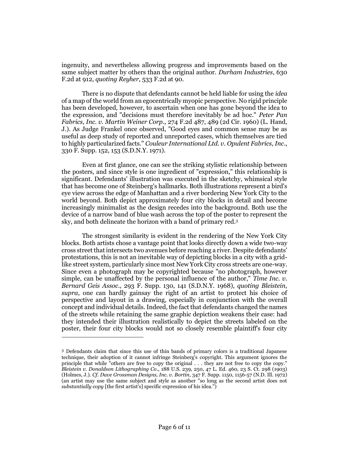ingenuity, and nevertheless allowing progress and improvements based on the same subject matter by others than the original author. *Durham Industries*, 630 F.2d at 912, *quoting Reyher*, 533 F.2d at 90.

There is no dispute that defendants cannot be held liable for using the *idea* of a map of the world from an egocentrically myopic perspective. No rigid principle has been developed, however, to ascertain when one has gone beyond the idea to the expression, and "decisions must therefore inevitably be ad hoc." *Peter Pan Fabrics, Inc. v. Martin Weiner Corp*., 274 F.2d 487, 489 (2d Cir. 1960) (L. Hand, J.). As Judge Frankel once observed, "Good eyes and common sense may be as useful as deep study of reported and unreported cases, which themselves are tied to highly particularized facts." *Couleur International Ltd. v. Opulent Fabrics, Inc*., 330 F. Supp. 152, 153 (S.D.N.Y. 1971).

Even at first glance, one can see the striking stylistic relationship between the posters, and since style is one ingredient of "expression," this relationship is significant. Defendants' illustration was executed in the sketchy, whimsical style that has become one of Steinberg's hallmarks. Both illustrations represent a bird's eye view across the edge of Manhattan and a river bordering New York City to the world beyond. Both depict approximately four city blocks in detail and become increasingly minimalist as the design recedes into the background. Both use the device of a narrow band of blue wash across the top of the poster to represent the sky, and both delineate the horizon with a band of primary red.<sup>3</sup>

The strongest similarity is evident in the rendering of the New York City blocks. Both artists chose a vantage point that looks directly down a wide two-way cross street that intersects two avenues before reaching a river. Despite defendants' protestations, this is not an inevitable way of depicting blocks in a city with a gridlike street system, particularly since most New York City cross streets are one-way. Since even a photograph may be copyrighted because "no photograph, however simple, can be unaffected by the personal influence of the author," *Time Inc. v. Bernard Geis Assoc*., 293 F. Supp. 130, 141 (S.D.N.Y. 1968), *quoting Bleistein, supra*, one can hardly gainsay the right of an artist to protect his choice of perspective and layout in a drawing, especially in conjunction with the overall concept and individual details. Indeed, the fact that defendants changed the names of the streets while retaining the same graphic depiction weakens their case: had they intended their illustration realistically to depict the streets labeled on the poster, their four city blocks would not so closely resemble plaintiff's four city

 $\overline{a}$ 

<sup>3</sup> Defendants claim that since this use of thin bands of primary colors is a traditional Japanese technique, their adoption of it cannot infringe Steinberg's copyright. This argument ignores the principle that while "others are free to copy the original . . . they are not free to copy the copy." *Bleistein v. Donaldson Lithographing Co*., 188 U.S. 239, 250, 47 L. Ed. 460, 23 S. Ct. 298 (1903) (Holmes, J.). *Cf. Dave Grossman Designs, Inc. v. Bortin*, 347 F. Supp. 1150, 1156-57 (N.D. Ill. 1972) (an artist may use the same subject and style as another "so long as the second artist does not *substantially copy* [the first artist's] specific expression of his idea.")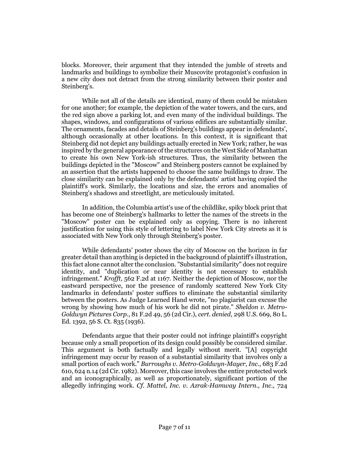blocks. Moreover, their argument that they intended the jumble of streets and landmarks and buildings to symbolize their Muscovite protagonist's confusion in a new city does not detract from the strong similarity between their poster and Steinberg's.

While not all of the details are identical, many of them could be mistaken for one another; for example, the depiction of the water towers, and the cars, and the red sign above a parking lot, and even many of the individual buildings. The shapes, windows, and configurations of various edifices are substantially similar. The ornaments, facades and details of Steinberg's buildings appear in defendants', although occasionally at other locations. In this context, it is significant that Steinberg did not depict any buildings actually erected in New York; rather, he was inspired by the general appearance of the structures on the West Side of Manhattan to create his own New York-ish structures. Thus, the similarity between the buildings depicted in the "Moscow" and Steinberg posters cannot be explained by an assertion that the artists happened to choose the same buildings to draw. The close similarity can be explained only by the defendants' artist having copied the plaintiff's work. Similarly, the locations and size, the errors and anomalies of Steinberg's shadows and streetlight, are meticulously imitated.

In addition, the Columbia artist's use of the childlike, spiky block print that has become one of Steinberg's hallmarks to letter the names of the streets in the "Moscow" poster can be explained only as copying. There is no inherent justification for using this style of lettering to label New York City streets as it is associated with New York only through Steinberg's poster.

While defendants' poster shows the city of Moscow on the horizon in far greater detail than anything is depicted in the background of plaintiff's illustration, this fact alone cannot alter the conclusion. "Substantial similarity" does not require identity, and "duplication or near identity is not necessary to establish infringement." *Krofft*, 562 F.2d at 1167. Neither the depiction of Moscow, nor the eastward perspective, nor the presence of randomly scattered New York City landmarks in defendants' poster suffices to eliminate the substantial similarity between the posters. As Judge Learned Hand wrote, "no plagiarist can excuse the wrong by showing how much of his work he did not pirate." *Sheldon v. Metro-Goldwyn Pictures Corp*., 81 F.2d 49, 56 (2d Cir.), *cert. denied*, 298 U.S. 669, 80 L. Ed. 1392, 56 S. Ct. 835 (1936).

Defendants argue that their poster could not infringe plaintiff's copyright because only a small proportion of its design could possibly be considered similar. This argument is both factually and legally without merit. "[A] copyright infringement may occur by reason of a substantial similarity that involves only a small portion of each work." *Burroughs v. Metro-Goldwyn-Mayer, Inc*., 683 F.2d 610, 624 n.14 (2d Cir. 1982). Moreover, this case involves the entire protected work and an iconographically, as well as proportionately, significant portion of the allegedly infringing work. *Cf. Mattel, Inc. v. Azrak-Hamway Intern., Inc*., 724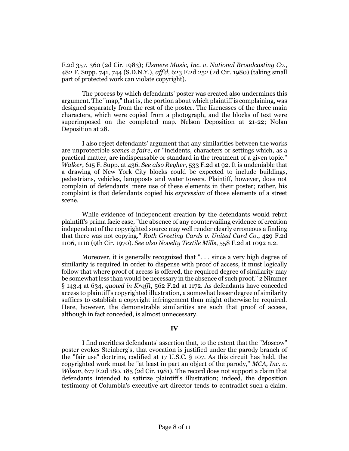F.2d 357, 360 (2d Cir. 1983); *Elsmere Music, Inc. v. National Broadcasting Co*., 482 F. Supp. 741, 744 (S.D.N.Y.), *aff'd*, 623 F.2d 252 (2d Cir. 1980) (taking small part of protected work can violate copyright).

The process by which defendants' poster was created also undermines this argument. The "map," that is, the portion about which plaintiff is complaining, was designed separately from the rest of the poster. The likenesses of the three main characters, which were copied from a photograph, and the blocks of text were superimposed on the completed map. Nelson Deposition at 21-22; Nolan Deposition at 28.

I also reject defendants' argument that any similarities between the works are unprotectible *scenes a faire*, or "incidents, characters or settings which, as a practical matter, are indispensable or standard in the treatment of a given topic." *Walker*, 615 F. Supp. at 436. *See also Reyher*, 533 F.2d at 92. It is undeniable that a drawing of New York City blocks could be expected to include buildings, pedestrians, vehicles, lampposts and water towers. Plaintiff, however, does not complain of defendants' mere use of these elements in their poster; rather, his complaint is that defendants copied his *expression* of those elements of a street scene.

While evidence of independent creation by the defendants would rebut plaintiff's prima facie case, "the absence of any countervailing evidence of creation independent of the copyrighted source may well render clearly erroneous a finding that there was not copying." *Roth Greeting Cards v. United Card Co*., 429 F.2d 1106, 1110 (9th Cir. 1970). *See also Novelty Textile Mills*, 558 F.2d at 1092 n.2.

Moreover, it is generally recognized that ". . . since a very high degree of similarity is required in order to dispense with proof of access, it must logically follow that where proof of access is offered, the required degree of similarity may be somewhat less than would be necessary in the absence of such proof." 2 Nimmer § 143.4 at 634, *quoted in Krofft*, 562 F.2d at 1172. As defendants have conceded access to plaintiff's copyrighted illustration, a somewhat lesser degree of similarity suffices to establish a copyright infringement than might otherwise be required. Here, however, the demonstrable similarities are such that proof of access, although in fact conceded, is almost unnecessary.

#### **IV**

I find meritless defendants' assertion that, to the extent that the "Moscow" poster evokes Steinberg's, that evocation is justified under the parody branch of the "fair use" doctrine, codified at 17 U.S.C. § 107. As this circuit has held, the copyrighted work must be "at least in part an object of the parody," *MCA, Inc. v. Wilson*, 677 F.2d 180, 185 (2d Cir. 1981). The record does not support a claim that defendants intended to satirize plaintiff's illustration; indeed, the deposition testimony of Columbia's executive art director tends to contradict such a claim.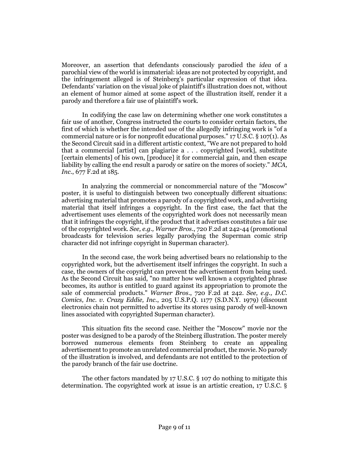Moreover, an assertion that defendants consciously parodied the *idea* of a parochial view of the world is immaterial: ideas are not protected by copyright, and the infringement alleged is of Steinberg's particular expression of that idea. Defendants' variation on the visual joke of plaintiff's illustration does not, without an element of humor aimed at some aspect of the illustration itself, render it a parody and therefore a fair use of plaintiff's work.

In codifying the case law on determining whether one work constitutes a fair use of another, Congress instructed the courts to consider certain factors, the first of which is whether the intended use of the allegedly infringing work is "of a commercial nature or is for nonprofit educational purposes." 17 U.S.C. § 107(1). As the Second Circuit said in a different artistic context, "We are not prepared to hold that a commercial [artist] can plagiarize a . . . copyrighted [work], substitute [certain elements] of his own, [produce] it for commercial gain, and then escape liability by calling the end result a parody or satire on the mores of society." *MCA, Inc.*, 677 F.2d at 185.

In analyzing the commercial or noncommercial nature of the "Moscow" poster, it is useful to distinguish between two conceptually different situations: advertising material that promotes a parody of a copyrighted work, and advertising material that itself infringes a copyright. In the first case, the fact that the advertisement uses elements of the copyrighted work does not necessarily mean that it infringes the copyright, if the product that it advertises constitutes a fair use of the copyrighted work. *See, e.g., Warner Bros*., 720 F.2d at 242-44 (promotional broadcasts for television series legally parodying the Superman comic strip character did not infringe copyright in Superman character).

In the second case, the work being advertised bears no relationship to the copyrighted work, but the advertisement itself infringes the copyright. In such a case, the owners of the copyright can prevent the advertisement from being used. As the Second Circuit has said, "no matter how well known a copyrighted phrase becomes, its author is entitled to guard against its appropriation to promote the sale of commercial products." *Warner Bros*., 720 F.2d at 242. *See, e.g., D.C. Comics, Inc. v. Crazy Eddie, Inc*., 205 U.S.P.Q. 1177 (S.D.N.Y. 1979) (discount electronics chain not permitted to advertise its stores using parody of well-known lines associated with copyrighted Superman character).

This situation fits the second case. Neither the "Moscow" movie nor the poster was designed to be a parody of the Steinberg illustration. The poster merely borrowed numerous elements from Steinberg to create an appealing advertisement to promote an unrelated commercial product, the movie. No parody of the illustration is involved, and defendants are not entitled to the protection of the parody branch of the fair use doctrine.

The other factors mandated by 17 U.S.C. § 107 do nothing to mitigate this determination. The copyrighted work at issue is an artistic creation, 17 U.S.C. §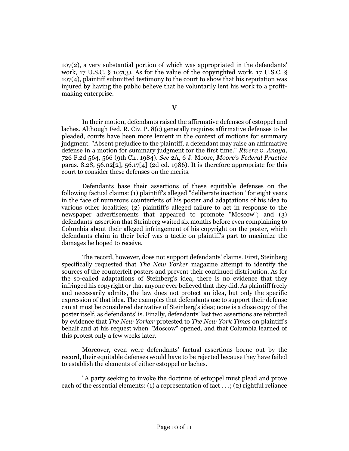107(2), a very substantial portion of which was appropriated in the defendants' work, 17 U.S.C. § 107(3). As for the value of the copyrighted work, 17 U.S.C. § 107(4), plaintiff submitted testimony to the court to show that his reputation was injured by having the public believe that he voluntarily lent his work to a profitmaking enterprise.

In their motion, defendants raised the affirmative defenses of estoppel and laches. Although Fed. R. Civ. P. 8(c) generally requires affirmative defenses to be pleaded, courts have been more lenient in the context of motions for summary judgment. "Absent prejudice to the plaintiff, a defendant may raise an affirmative defense in a motion for summary judgment for the first time." *Rivera v. Anaya*, 726 F.2d 564, 566 (9th Cir. 1984). *See* 2A, 6 J. Moore, *Moore's Federal Practice* paras. 8.28,  $56.02\left[2\right]$ ,  $56.17\left[4\right]$  (2d ed. 1986). It is therefore appropriate for this court to consider these defenses on the merits.

Defendants base their assertions of these equitable defenses on the following factual claims: (1) plaintiff's alleged "deliberate inaction" for eight years in the face of numerous counterfeits of his poster and adaptations of his idea to various other localities; (2) plaintiff's alleged failure to act in response to the newspaper advertisements that appeared to promote "Moscow"; and (3) defendants' assertion that Steinberg waited six months before even complaining to Columbia about their alleged infringement of his copyright on the poster, which defendants claim in their brief was a tactic on plaintiff's part to maximize the damages he hoped to receive.

The record, however, does not support defendants' claims. First, Steinberg specifically requested that *The New Yorker* magazine attempt to identify the sources of the counterfeit posters and prevent their continued distribution. As for the so-called adaptations of Steinberg's idea, there is no evidence that they infringed his copyright or that anyone ever believed that they did. As plaintiff freely and necessarily admits, the law does not protect an idea, but only the specific expression of that idea. The examples that defendants use to support their defense can at most be considered derivative of Steinberg's idea; none is a close copy of the poster itself, as defendants' is. Finally, defendants' last two assertions are rebutted by evidence that *The New Yorker* protested to *The New York Times* on plaintiff's behalf and at his request when "Moscow" opened, and that Columbia learned of this protest only a few weeks later.

Moreover, even were defendants' factual assertions borne out by the record, their equitable defenses would have to be rejected because they have failed to establish the elements of either estoppel or laches.

"A party seeking to invoke the doctrine of estoppel must plead and prove each of the essential elements: (1) a representation of fact  $\dots$ ; (2) rightful reliance